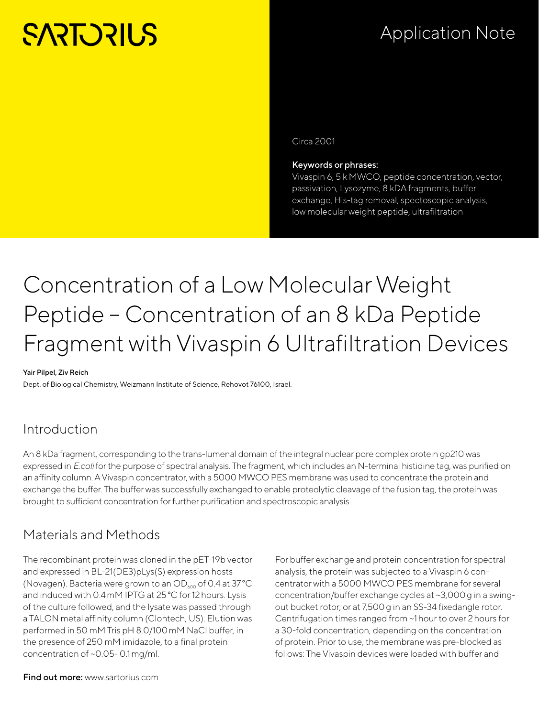# **SARTORILS**

## Application Note

Circa 2001

Keywords or phrases:

Vivaspin 6, 5 k MWCO, peptide concentration, vector, passivation, Lysozyme, 8 kDA fragments, buffer exchange, His-tag removal, spectoscopic analysis, low molecular weight peptide, ultrafiltration

## Concentration of a Low Molecular Weight Peptide – Concentration of an 8 kDa Peptide Fragment with Vivaspin 6 Ultrafiltration Devices

#### Yair Pilpel, Ziv Reich

Dept. of Biological Chemistry, Weizmann Institute of Science, Rehovot 76100, Israel.

#### Introduction

An 8 kDa fragment, corresponding to the trans-lumenal domain of the integral nuclear pore complex protein gp210 was expressed in *E.coli* for the purpose of spectral analysis. The fragment, which includes an N-terminal histidine tag, was purified on an affinity column. A Vivaspin concentrator, with a 5000 MWCO PES membrane was used to concentrate the protein and exchange the buffer. The buffer was successfully exchanged to enable proteolytic cleavage of the fusion tag, the protein was brought to sufficient concentration for further purification and spectroscopic analysis.

#### Materials and Methods

The recombinant protein was cloned in the pET-19b vector and expressed in BL-21(DE3)pLys(S) expression hosts (Novagen). Bacteria were grown to an  $OD_{600}$  of 0.4 at 37 °C and induced with 0.4mM IPTG at 25°C for 12hours. Lysis of the culture followed, and the lysate was passed through a TALON metal affinity column (Clontech, US). Elution was performed in 50 mM Tris pH 8.0/100mM NaCl buffer, in the presence of 250 mM imidazole, to a final protein concentration of ~0.05- 0.1mg/ml.

For buffer exchange and protein concentration for spectral analysis, the protein was subjected to a Vivaspin 6 concentrator with a 5000 MWCO PES membrane for several concentration/buffer exchange cycles at ~3,000g in a swingout bucket rotor, or at 7,500g in an SS-34 fixedangle rotor. Centrifugation times ranged from ~1hour to over 2hours for a 30-fold concentration, depending on the concentration of protein. Prior to use, the membrane was pre-blocked as follows: The Vivaspin devices were loaded with buffer and